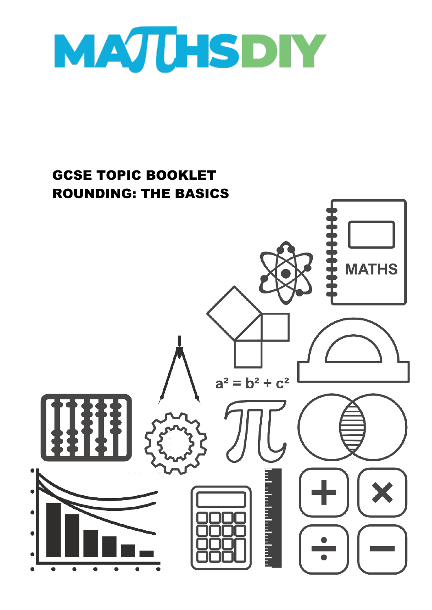

# GCSE TOPIC BOOKLET ROUNDING: THE BASICS**MATHS**  $a^2 = b^2 + c^2$ a bandar a bandar a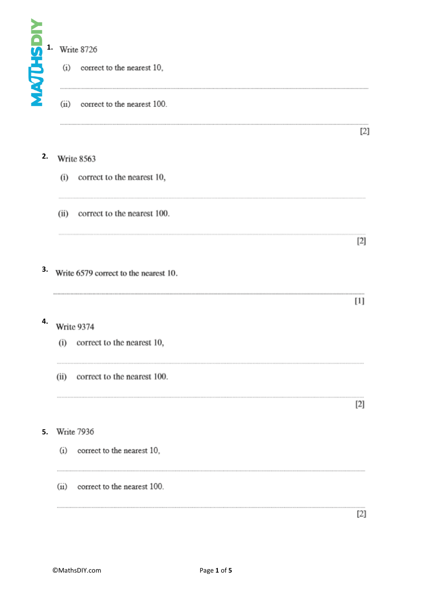

# Write 8726

(i) correct to the nearest 10,

(ii) correct to the nearest 100.

### **2.** Write 8563

- (i) correct to the nearest 10,
- (ii) correct to the nearest 100.
- **3.** Write 6579 correct to the nearest 10.

- **4.** Write 9374
	- (i) correct to the nearest 10,
	- (ii) correct to the nearest 100.

 $[2]$ 

 $[2]$ 

 $[2]$ 

 $[1]$ 

......................................

# **5.**

- (i) correct to the nearest 10,
- (ii) correct to the nearest 100.

 $[2]$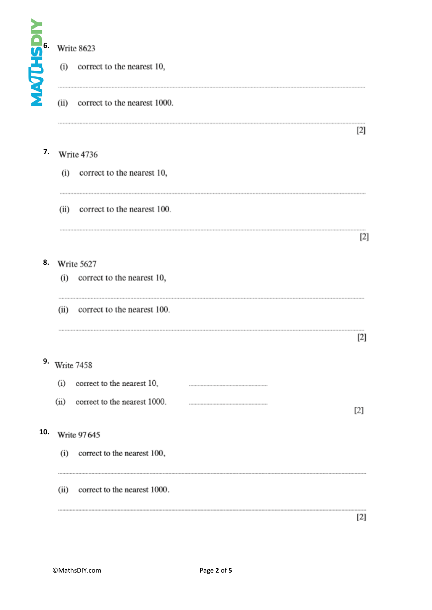

## $\overline{W}$  $0.622$

|               | <b>Write 8623</b>                    |       |  |  |  |  |
|---------------|--------------------------------------|-------|--|--|--|--|
| <b>SIMPLE</b> | correct to the nearest 10,<br>(i)    |       |  |  |  |  |
|               | (ii)<br>correct to the nearest 1000. |       |  |  |  |  |
|               |                                      | $[2]$ |  |  |  |  |
| 7.            | Write 4736                           |       |  |  |  |  |
|               | correct to the nearest 10,<br>(i)    |       |  |  |  |  |
|               | correct to the nearest 100.<br>(ii)  |       |  |  |  |  |
|               |                                      | $[2]$ |  |  |  |  |
| 8.            | Write 5627                           |       |  |  |  |  |
|               | (i) correct to the nearest 10,       |       |  |  |  |  |
|               | correct to the nearest 100.<br>(ii)  |       |  |  |  |  |
|               |                                      | [2]   |  |  |  |  |
| 9.            | Write 7458                           |       |  |  |  |  |
|               | (i)<br>correct to the nearest 10,    |       |  |  |  |  |
|               | (ii)<br>correct to the nearest 1000. | [2]   |  |  |  |  |
| 10.           | <b>Write 97645</b>                   |       |  |  |  |  |
|               | (i)<br>correct to the nearest 100,   |       |  |  |  |  |
|               | correct to the nearest 1000.<br>(ii) |       |  |  |  |  |
|               |                                      | $[2]$ |  |  |  |  |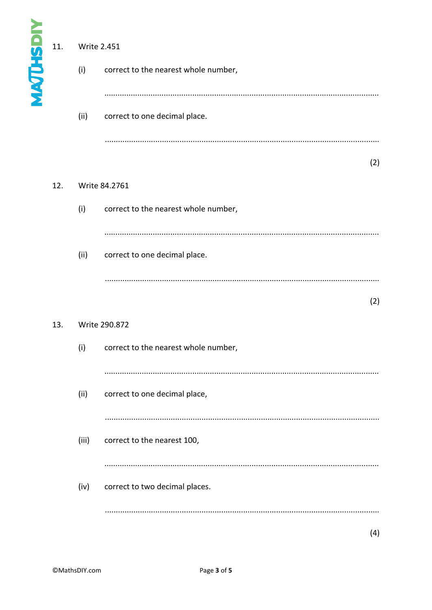|                  | 11. | <b>Write 2.451</b> |                                      |  |  |
|------------------|-----|--------------------|--------------------------------------|--|--|
| <b>MAJUHSDIY</b> |     | (i)                | correct to the nearest whole number, |  |  |
|                  |     | (ii)               | correct to one decimal place.        |  |  |
|                  |     |                    | (2)                                  |  |  |
|                  | 12. | Write 84.2761      |                                      |  |  |
|                  |     | (i)                | correct to the nearest whole number, |  |  |
|                  |     |                    |                                      |  |  |
|                  |     | (ii)               | correct to one decimal place.        |  |  |
|                  |     |                    | (2)                                  |  |  |
|                  | 13. | Write 290.872      |                                      |  |  |
|                  |     | (i)                | correct to the nearest whole number, |  |  |
|                  |     |                    |                                      |  |  |
|                  |     | (ii)               | correct to one decimal place,        |  |  |
|                  |     |                    |                                      |  |  |
|                  |     | (iii)              | correct to the nearest 100,          |  |  |
|                  |     |                    |                                      |  |  |
|                  |     | (iv)               | correct to two decimal places.       |  |  |
|                  |     |                    |                                      |  |  |
|                  |     |                    | (4)                                  |  |  |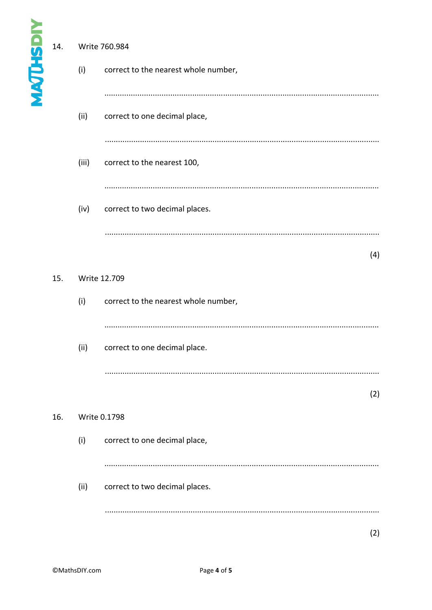| <b>MAQUHSDI</b> | 14. | (i)<br>(ii)<br>(iii) | Write 760.984<br>correct to the nearest whole number,<br>correct to one decimal place,<br>correct to the nearest 100, |     |
|-----------------|-----|----------------------|-----------------------------------------------------------------------------------------------------------------------|-----|
|                 |     | (iv)                 | correct to two decimal places.                                                                                        |     |
|                 | 15. | (i)                  | Write 12.709<br>correct to the nearest whole number,                                                                  | (4) |
|                 |     | (ii)                 | correct to one decimal place.                                                                                         |     |
|                 | 16. |                      | Write 0.1798                                                                                                          | (2) |
|                 |     | (i)<br>(ii)          | correct to one decimal place,<br>correct to two decimal places.                                                       |     |
|                 |     |                      |                                                                                                                       | (2) |